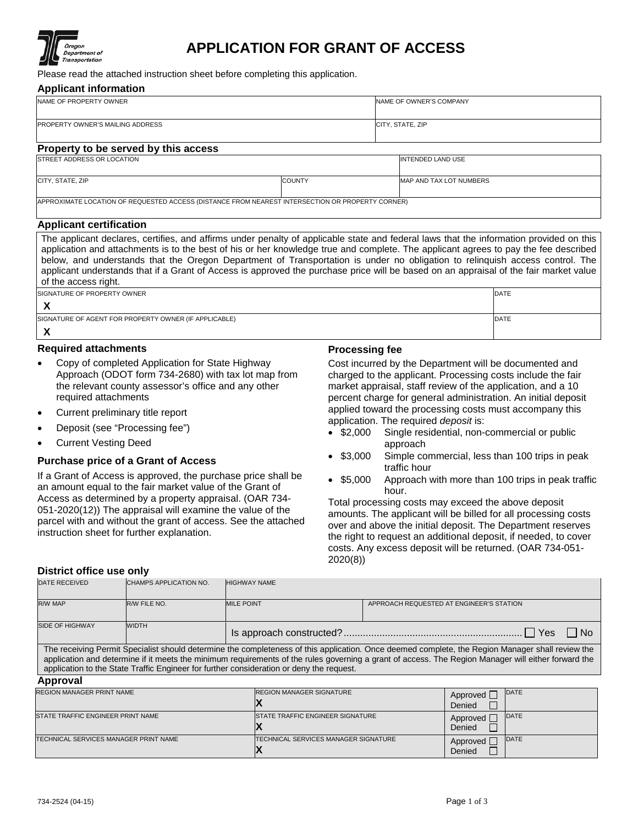

## **APPLICATION FOR GRANT OF ACCESS**

Please read the attached instruction sheet before completing this application.

#### **Applicant information**

| NAME OF PROPERTY OWNER               | NAME OF OWNER'S COMPANY  |  |  |  |  |
|--------------------------------------|--------------------------|--|--|--|--|
|                                      |                          |  |  |  |  |
| PROPERTY OWNER'S MAILING ADDRESS     | CITY, STATE, ZIP         |  |  |  |  |
|                                      |                          |  |  |  |  |
| Property to be served by this access |                          |  |  |  |  |
| <b>ISTREET ADDRESS OR LOCATION</b>   | <b>INTENDED LAND USE</b> |  |  |  |  |
|                                      |                          |  |  |  |  |

CITY, STATE, ZIP COUNTY MAP AND TAX LOT NUMBERS

APPROXIMATE LOCATION OF REQUESTED ACCESS (DISTANCE FROM NEAREST INTERSECTION OR PROPERTY CORNER)

#### **Applicant certification**

The applicant declares, certifies, and affirms under penalty of applicable state and federal laws that the information provided on this application and attachments is to the best of his or her knowledge true and complete. The applicant agrees to pay the fee described below, and understands that the Oregon Department of Transportation is under no obligation to relinquish access control. The applicant understands that if a Grant of Access is approved the purchase price will be based on an appraisal of the fair market value of the access right.

| <b>ISIGNATURE OF PROPERTY OWNER</b>                   | <b>DATE</b> |
|-------------------------------------------------------|-------------|
|                                                       |             |
| SIGNATURE OF AGENT FOR PROPERTY OWNER (IF APPLICABLE) | <b>DATE</b> |
|                                                       |             |

### **Required attachments**

- Copy of completed Application for State Highway Approach (ODOT form 734-2680) with tax lot map from the relevant county assessor's office and any other required attachments
- Current preliminary title report
- Deposit (see "Processing fee")
- Current Vesting Deed

## **Purchase price of a Grant of Access**

If a Grant of Access is approved, the purchase price shall be an amount equal to the fair market value of the Grant of Access as determined by a property appraisal. (OAR 734- 051-2020(12)) The appraisal will examine the value of the parcel with and without the grant of access. See the attached instruction sheet for further explanation.

## **Processing fee**

Cost incurred by the Department will be documented and charged to the applicant. Processing costs include the fair market appraisal, staff review of the application, and a 10 percent charge for general administration. An initial deposit applied toward the processing costs must accompany this

- application. The required *deposit* is: Single residential, non-commercial or public approach
- \$3,000 Simple commercial, less than 100 trips in peak traffic hour
- \$5,000 Approach with more than 100 trips in peak traffic hour.

Total processing costs may exceed the above deposit amounts. The applicant will be billed for all processing costs over and above the initial deposit. The Department reserves the right to request an additional deposit, if needed, to cover costs. Any excess deposit will be returned. (OAR 734-051- 2020(8))

#### **District office use only**

| <b>DATE RECEIVED</b>   | <b>CHAMPS APPLICATION NO.</b> | <b>HIGHWAY NAME</b> |                                          |
|------------------------|-------------------------------|---------------------|------------------------------------------|
| <b>R/W MAP</b>         | R/W FILE NO.                  | <b>MILE POINT</b>   | APPROACH REQUESTED AT ENGINEER'S STATION |
| <b>SIDE OF HIGHWAY</b> | <b>WIDTH</b>                  |                     | Yes <sup>-</sup><br>l No                 |

The receiving Permit Specialist should determine the completeness of this application. Once deemed complete, the Region Manager shall review the application and determine if it meets the minimum requirements of the rules governing a grant of access. The Region Manager will either forward the application to the State Traffic Engineer for further consideration or deny the request.

#### **Approval**

| <b>REGION MANAGER PRINT NAME</b>      | <b>REGION MANAGER SIGNATURE</b>              | DATE<br>Approved<br>Denied |  |  |  |
|---------------------------------------|----------------------------------------------|----------------------------|--|--|--|
| STATE TRAFFIC ENGINEER PRINT NAME     | <b>ISTATE TRAFFIC ENGINEER SIGNATURE</b>     | DATE<br>Approved<br>Denied |  |  |  |
| TECHNICAL SERVICES MANAGER PRINT NAME | <b>ITECHNICAL SERVICES MANAGER SIGNATURE</b> | DATE<br>Approved<br>Denied |  |  |  |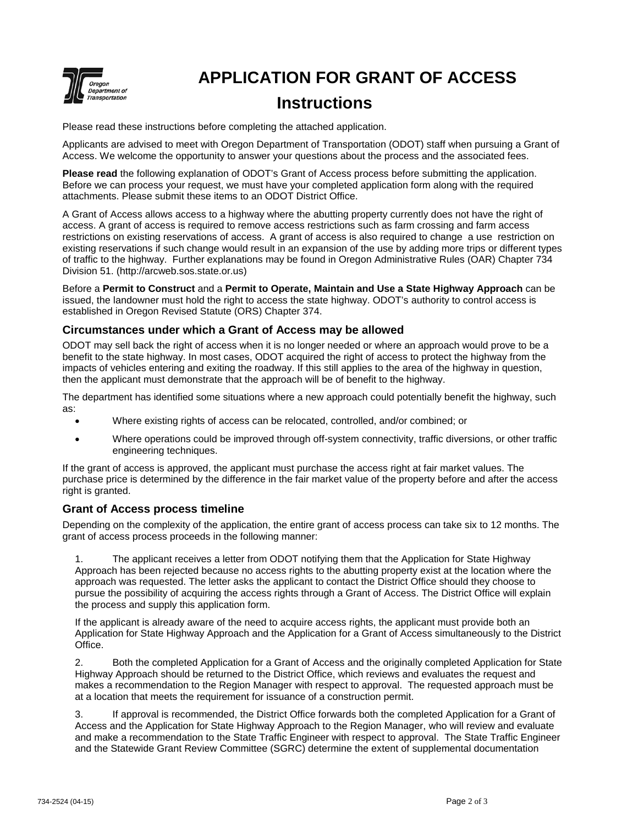

# **APPLICATION FOR GRANT OF ACCESS Instructions**

Please read these instructions before completing the attached application.

Applicants are advised to meet with Oregon Department of Transportation (ODOT) staff when pursuing a Grant of Access. We welcome the opportunity to answer your questions about the process and the associated fees.

**Please read** the following explanation of ODOT's Grant of Access process before submitting the application. Before we can process your request, we must have your completed application form along with the required attachments. Please submit these items to an ODOT District Office.

A Grant of Access allows access to a highway where the abutting property currently does not have the right of access. A grant of access is required to remove access restrictions such as farm crossing and farm access restrictions on existing reservations of access. A grant of access is also required to change a use restriction on existing reservations if such change would result in an expansion of the use by adding more trips or different types of traffic to the highway. Further explanations may be found in Oregon Administrative Rules (OAR) Chapter 734 Division 51. (http://arcweb.sos.state.or.us)

Before a **Permit to Construct** and a **Permit to Operate, Maintain and Use a State Highway Approach** can be issued, the landowner must hold the right to access the state highway. ODOT's authority to control access is established in Oregon Revised Statute (ORS) Chapter 374.

## **Circumstances under which a Grant of Access may be allowed**

ODOT may sell back the right of access when it is no longer needed or where an approach would prove to be a benefit to the state highway. In most cases, ODOT acquired the right of access to protect the highway from the impacts of vehicles entering and exiting the roadway. If this still applies to the area of the highway in question, then the applicant must demonstrate that the approach will be of benefit to the highway.

The department has identified some situations where a new approach could potentially benefit the highway, such as:

- Where existing rights of access can be relocated, controlled, and/or combined; or
- Where operations could be improved through off-system connectivity, traffic diversions, or other traffic engineering techniques.

If the grant of access is approved, the applicant must purchase the access right at fair market values. The purchase price is determined by the difference in the fair market value of the property before and after the access right is granted.

## **Grant of Access process timeline**

Depending on the complexity of the application, the entire grant of access process can take six to 12 months. The grant of access process proceeds in the following manner:

1. The applicant receives a letter from ODOT notifying them that the Application for State Highway Approach has been rejected because no access rights to the abutting property exist at the location where the approach was requested. The letter asks the applicant to contact the District Office should they choose to pursue the possibility of acquiring the access rights through a Grant of Access. The District Office will explain the process and supply this application form.

If the applicant is already aware of the need to acquire access rights, the applicant must provide both an Application for State Highway Approach and the Application for a Grant of Access simultaneously to the District Office.

2. Both the completed Application for a Grant of Access and the originally completed Application for State Highway Approach should be returned to the District Office, which reviews and evaluates the request and makes a recommendation to the Region Manager with respect to approval. The requested approach must be at a location that meets the requirement for issuance of a construction permit.

3. If approval is recommended, the District Office forwards both the completed Application for a Grant of Access and the Application for State Highway Approach to the Region Manager, who will review and evaluate and make a recommendation to the State Traffic Engineer with respect to approval. The State Traffic Engineer and the Statewide Grant Review Committee (SGRC) determine the extent of supplemental documentation